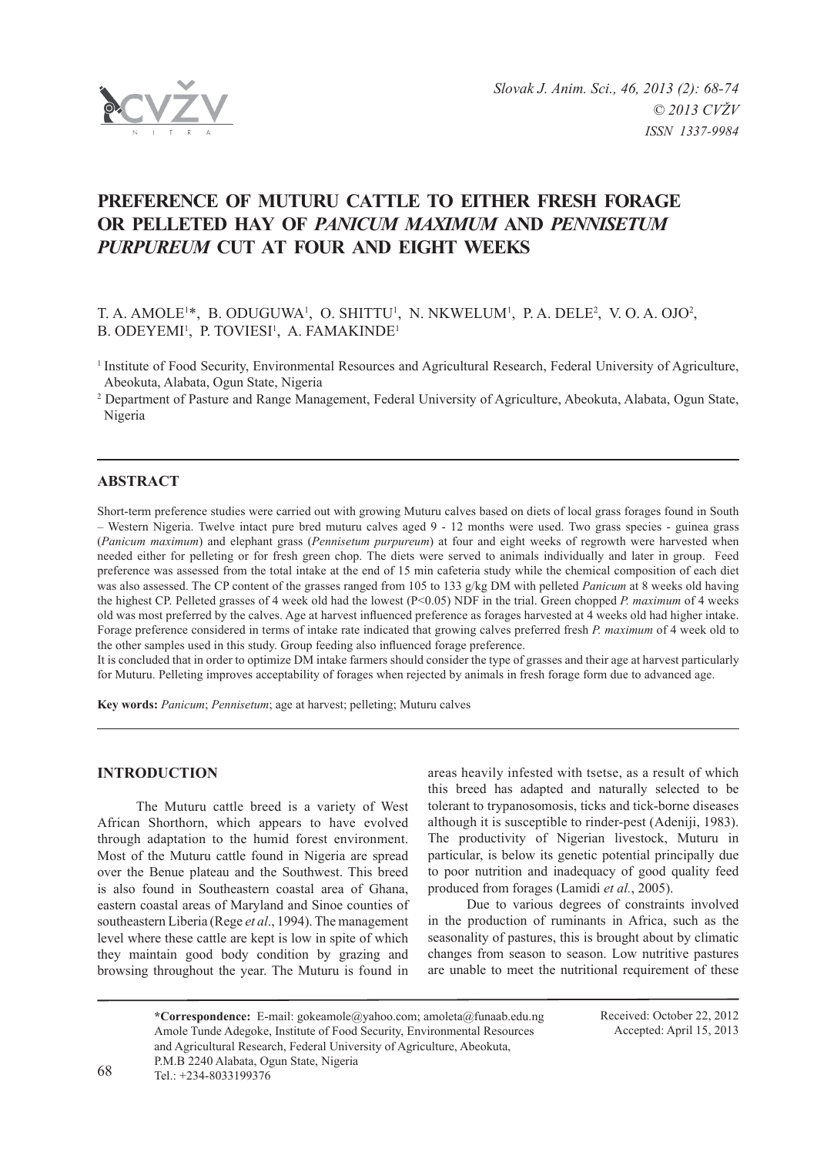

# **Preference of Muturu Cattle to either Fresh Forage or Pelleted Hay of** *Panicum maximum* **and** *Pennisetum purpureum* **cut at Four and Eight Weeks**

T. A. AMOLE<sup>1\*</sup>, B. ODUGUWA<sup>1</sup>, O. SHITTU<sup>1</sup>, N. NKWELUM<sup>1</sup>, P. A. DELE<sup>2</sup>, V. O. A. OJO<sup>2</sup>, B. ODEYEMI<sup>1</sup>, P. TOVIESI<sup>1</sup>, A. FAMAKINDE<sup>1</sup>

<sup>1</sup> Institute of Food Security, Environmental Resources and Agricultural Research, Federal University of Agriculture, Abeokuta, Alabata, Ogun State, Nigeria

2 Department of Pasture and Range Management, Federal University of Agriculture, Abeokuta, Alabata, Ogun State, Nigeria

# **ABSTRACT**

Short-term preference studies were carried out with growing Muturu calves based on diets of local grass forages found in South – Western Nigeria. Twelve intact pure bred muturu calves aged 9 - 12 months were used. Two grass species - guinea grass (*Panicum maximum*) and elephant grass (*Pennisetum purpureum*) at four and eight weeks of regrowth were harvested when needed either for pelleting or for fresh green chop. The diets were served to animals individually and later in group. Feed preference was assessed from the total intake at the end of 15 min cafeteria study while the chemical composition of each diet was also assessed. The CP content of the grasses ranged from 105 to 133 g/kg DM with pelleted *Panicum* at 8 weeks old having the highest CP. Pelleted grasses of 4 week old had the lowest (P<0.05) NDF in the trial. Green chopped *P. maximum* of 4 weeks old was most preferred by the calves. Age at harvest influenced preference as forages harvested at 4 weeks old had higher intake. Forage preference considered in terms of intake rate indicated that growing calves preferred fresh *P. maximum* of 4 week old to the other samples used in this study. Group feeding also influenced forage preference.

It is concluded that in order to optimize DM intake farmers should consider the type of grasses and their age at harvest particularly for Muturu. Pelleting improves acceptability of forages when rejected by animals in fresh forage form due to advanced age.

**Key words:** *Panicum*; *Pennisetum*; age at harvest; pelleting; Muturu calves

# **INTRODUCTION**

The Muturu cattle breed is a variety of West African Shorthorn, which appears to have evolved through adaptation to the humid forest environment. Most of the Muturu cattle found in Nigeria are spread over the Benue plateau and the Southwest. This breed is also found in Southeastern coastal area of Ghana, eastern coastal areas of Maryland and Sinoe counties of southeastern Liberia (Rege *et al*., 1994). The management level where these cattle are kept is low in spite of which they maintain good body condition by grazing and browsing throughout the year. The Muturu is found in

areas heavily infested with tsetse, as a result of which this breed has adapted and naturally selected to be tolerant to trypanosomosis, ticks and tick-borne diseases although it is susceptible to rinder-pest (Adeniji, 1983). The productivity of Nigerian livestock, Muturu in particular, is below its genetic potential principally due to poor nutrition and inadequacy of good quality feed produced from forages (Lamidi *et al.*, 2005).

Due to various degrees of constraints involved in the production of ruminants in Africa, such as the seasonality of pastures, this is brought about by climatic changes from season to season. Low nutritive pastures are unable to meet the nutritional requirement of these

| *Correspondence: E-mail: gokeamole@yahoo.com; amoleta@funaab.edu.ng      |
|--------------------------------------------------------------------------|
| Amole Tunde Adegoke, Institute of Food Security, Environmental Resources |
| and Agricultural Research, Federal University of Agriculture, Abeokuta,  |
| P.M.B 2240 Alabata, Ogun State, Nigeria                                  |
| Tel.: $+234-8033199376$                                                  |

Received: October 22, 2012 Accepted: April 15, 2013

68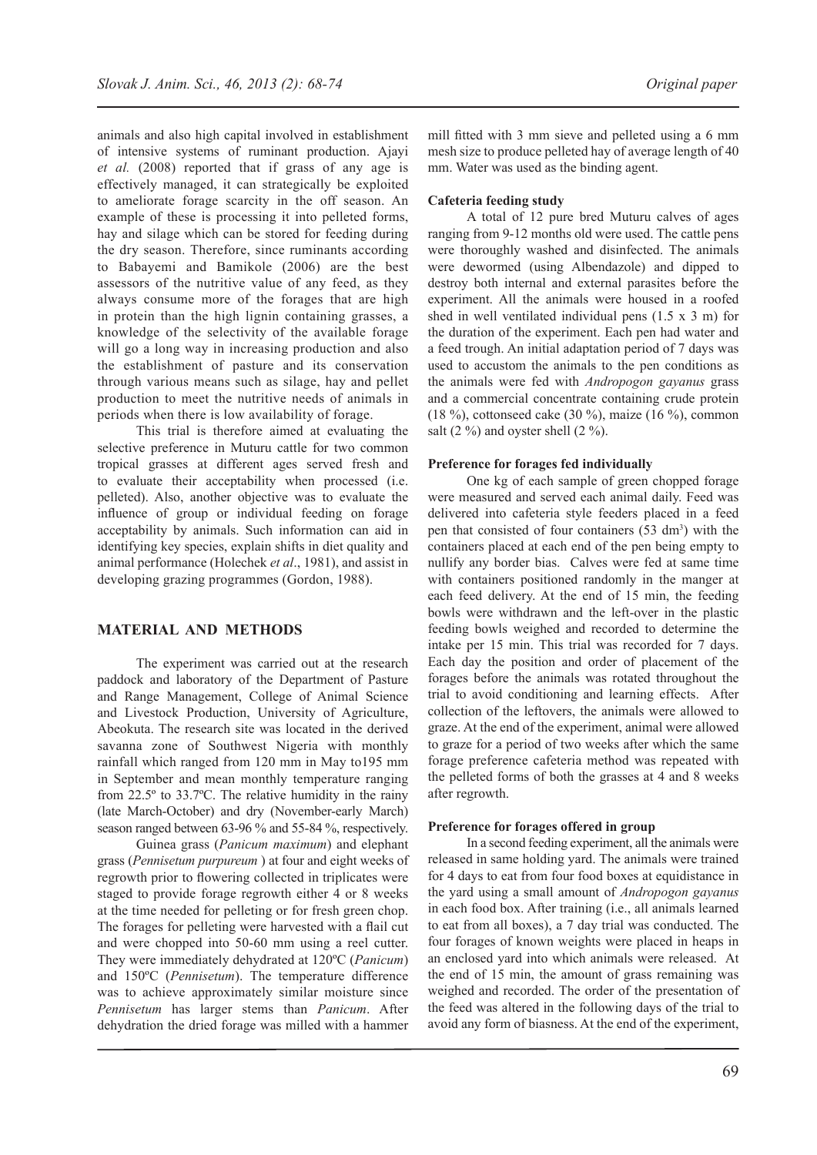animals and also high capital involved in establishment of intensive systems of ruminant production. Ajayi *et al.* (2008) reported that if grass of any age is effectively managed, it can strategically be exploited to ameliorate forage scarcity in the off season. An example of these is processing it into pelleted forms, hay and silage which can be stored for feeding during the dry season. Therefore, since ruminants according to Babayemi and Bamikole (2006) are the best assessors of the nutritive value of any feed, as they always consume more of the forages that are high in protein than the high lignin containing grasses, a knowledge of the selectivity of the available forage will go a long way in increasing production and also the establishment of pasture and its conservation through various means such as silage, hay and pellet production to meet the nutritive needs of animals in periods when there is low availability of forage.

This trial is therefore aimed at evaluating the selective preference in Muturu cattle for two common tropical grasses at different ages served fresh and to evaluate their acceptability when processed (i.e. pelleted). Also, another objective was to evaluate the influence of group or individual feeding on forage acceptability by animals. Such information can aid in identifying key species, explain shifts in diet quality and animal performance (Holechek *et al*., 1981), and assist in developing grazing programmes (Gordon, 1988).

## **Material and Methods**

The experiment was carried out at the research paddock and laboratory of the Department of Pasture and Range Management, College of Animal Science and Livestock Production, University of Agriculture, Abeokuta. The research site was located in the derived savanna zone of Southwest Nigeria with monthly rainfall which ranged from 120 mm in May to195 mm in September and mean monthly temperature ranging from 22.5º to 33.7ºC. The relative humidity in the rainy (late March-October) and dry (November-early March) season ranged between 63-96 % and 55-84 %, respectively.

Guinea grass (*Panicum maximum*) and elephant grass (*Pennisetum purpureum* ) at four and eight weeks of regrowth prior to flowering collected in triplicates were staged to provide forage regrowth either 4 or 8 weeks at the time needed for pelleting or for fresh green chop. The forages for pelleting were harvested with a flail cut and were chopped into 50-60 mm using a reel cutter. They were immediately dehydrated at 120ºC (*Panicum*) and 150ºC (*Pennisetum*). The temperature difference was to achieve approximately similar moisture since *Pennisetum* has larger stems than *Panicum*. After dehydration the dried forage was milled with a hammer

mill fitted with 3 mm sieve and pelleted using a 6 mm mesh size to produce pelleted hay of average length of 40 mm. Water was used as the binding agent.

## **Cafeteria feeding study**

A total of 12 pure bred Muturu calves of ages ranging from 9-12 months old were used. The cattle pens were thoroughly washed and disinfected. The animals were dewormed (using Albendazole) and dipped to destroy both internal and external parasites before the experiment. All the animals were housed in a roofed shed in well ventilated individual pens (1.5 x 3 m) for the duration of the experiment. Each pen had water and a feed trough. An initial adaptation period of 7 days was used to accustom the animals to the pen conditions as the animals were fed with *Andropogon gayanus* grass and a commercial concentrate containing crude protein (18 %), cottonseed cake (30 %), maize (16 %), common salt  $(2 \%)$  and oyster shell  $(2 \%)$ .

#### **Preference for forages fed individually**

One kg of each sample of green chopped forage were measured and served each animal daily. Feed was delivered into cafeteria style feeders placed in a feed pen that consisted of four containers (53 dm<sup>3</sup>) with the containers placed at each end of the pen being empty to nullify any border bias. Calves were fed at same time with containers positioned randomly in the manger at each feed delivery. At the end of 15 min, the feeding bowls were withdrawn and the left-over in the plastic feeding bowls weighed and recorded to determine the intake per 15 min. This trial was recorded for 7 days. Each day the position and order of placement of the forages before the animals was rotated throughout the trial to avoid conditioning and learning effects. After collection of the leftovers, the animals were allowed to graze. At the end of the experiment, animal were allowed to graze for a period of two weeks after which the same forage preference cafeteria method was repeated with the pelleted forms of both the grasses at 4 and 8 weeks after regrowth.

#### **Preference for forages offered in group**

In a second feeding experiment, all the animals were released in same holding yard. The animals were trained for 4 days to eat from four food boxes at equidistance in the yard using a small amount of *Andropogon gayanus*  in each food box. After training (i.e., all animals learned to eat from all boxes), a 7 day trial was conducted. The four forages of known weights were placed in heaps in an enclosed yard into which animals were released. At the end of 15 min, the amount of grass remaining was weighed and recorded. The order of the presentation of the feed was altered in the following days of the trial to avoid any form of biasness. At the end of the experiment,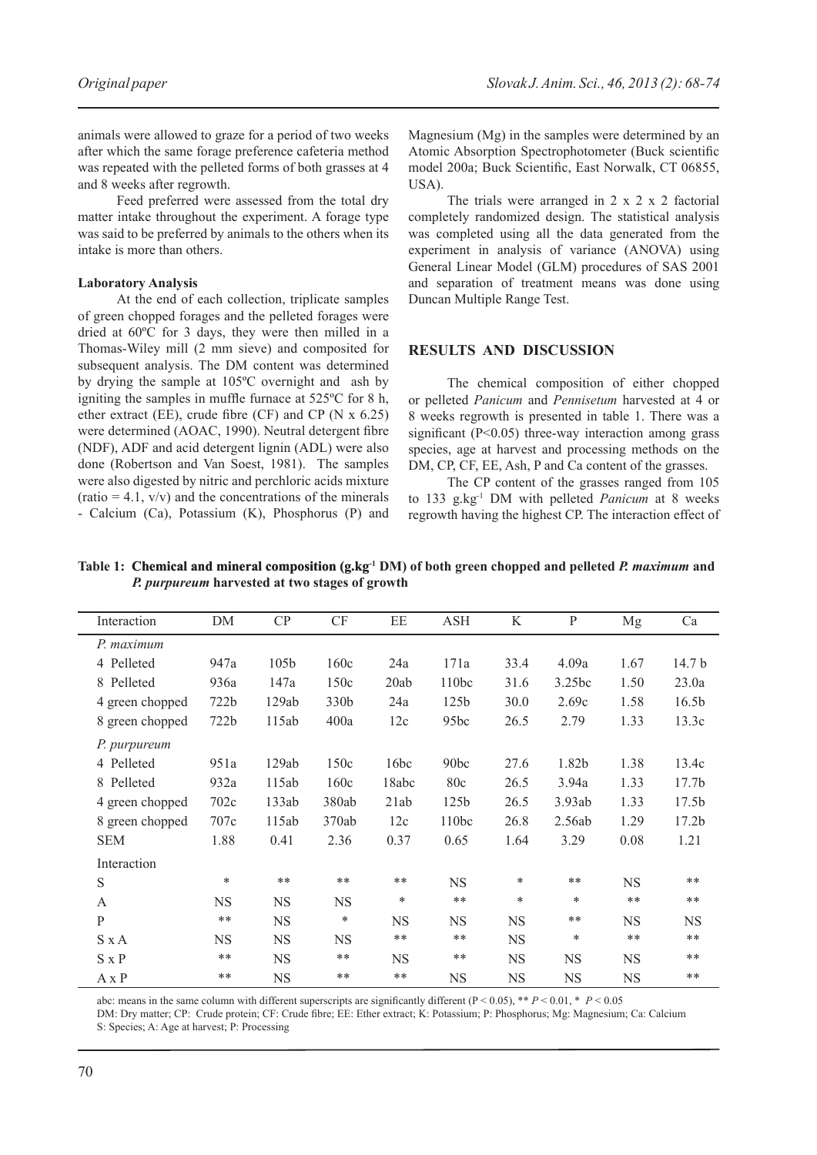animals were allowed to graze for a period of two weeks after which the same forage preference cafeteria method was repeated with the pelleted forms of both grasses at 4 and 8 weeks after regrowth.

Feed preferred were assessed from the total dry matter intake throughout the experiment. A forage type was said to be preferred by animals to the others when its intake is more than others.

#### **Laboratory Analysis**

At the end of each collection, triplicate samples of green chopped forages and the pelleted forages were dried at 60ºC for 3 days, they were then milled in a Thomas-Wiley mill (2 mm sieve) and composited for subsequent analysis. The DM content was determined by drying the sample at 105ºC overnight and ash by igniting the samples in muffle furnace at 525ºC for 8 h, ether extract (EE), crude fibre (CF) and CP (N  $\bar{x}$  6.25) were determined (AOAC, 1990). Neutral detergent fibre (NDF), ADF and acid detergent lignin (ADL) were also done (Robertson and Van Soest, 1981). The samples were also digested by nitric and perchloric acids mixture (ratio  $= 4.1$ , v/v) and the concentrations of the minerals - Calcium (Ca), Potassium (K), Phosphorus (P) and

Magnesium (Mg) in the samples were determined by an Atomic Absorption Spectrophotometer (Buck scientific model 200a; Buck Scientific, East Norwalk, CT 06855, USA).

The trials were arranged in 2 x 2 x 2 factorial completely randomized design. The statistical analysis was completed using all the data generated from the experiment in analysis of variance (ANOVA) using General Linear Model (GLM) procedures of SAS 2001 and separation of treatment means was done using Duncan Multiple Range Test.

#### **RESULTS AND Discussion**

The chemical composition of either chopped or pelleted *Panicum* and *Pennisetum* harvested at 4 or 8 weeks regrowth is presented in table 1. There was a significant (P<0.05) three-way interaction among grass species, age at harvest and processing methods on the DM, CP, CF, EE, Ash, P and Ca content of the grasses.

The CP content of the grasses ranged from 105 to 133 g.kg-1 DM with pelleted *Panicum* at 8 weeks regrowth having the highest CP. The interaction effect of

**Table 1: Chemical and mineral composition (g, kg<sup>-1</sup> DM) of both green chopped and pelleted** *P. maximum* **and** *P. purpureum* **harvested at two stages of growth**

| Interaction     | DM        | CP        | CF        | EE        | <b>ASH</b>       | K         | $\mathbf{P}$ | Mg        | Ca                |
|-----------------|-----------|-----------|-----------|-----------|------------------|-----------|--------------|-----------|-------------------|
| P. maximum      |           |           |           |           |                  |           |              |           |                   |
| 4 Pelleted      | 947a      | 105b      | 160c      | 24a       | 171a             | 33.4      | 4.09a        | 1.67      | 14.7 <sub>b</sub> |
| 8 Pelleted      | 936a      | 147a      | 150c      | 20ab      | 110bc            | 31.6      | 3.25bc       | 1.50      | 23.0a             |
| 4 green chopped | 722b      | 129ab     | 330b      | 24a       | 125b             | 30.0      | 2.69c        | 1.58      | 16.5b             |
| 8 green chopped | 722b      | 115ab     | 400a      | 12c       | 95bc             | 26.5      | 2.79         | 1.33      | 13.3c             |
| P. purpureum    |           |           |           |           |                  |           |              |           |                   |
| 4 Pelleted      | 951a      | 129ab     | 150c      | 16bc      | 90 <sub>bc</sub> | 27.6      | 1.82b        | 1.38      | 13.4c             |
| 8 Pelleted      | 932a      | 115ab     | 160c      | 18abc     | 80c              | 26.5      | 3.94a        | 1.33      | 17.7 <sub>b</sub> |
| 4 green chopped | 702c      | 133ab     | 380ab     | 21ab      | 125 <sub>b</sub> | 26.5      | 3.93ab       | 1.33      | 17.5 <sub>b</sub> |
| 8 green chopped | 707c      | 115ab     | 370ab     | 12c       | 110bc            | 26.8      | 2.56ab       | 1.29      | 17.2b             |
| <b>SEM</b>      | 1.88      | 0.41      | 2.36      | 0.37      | 0.65             | 1.64      | 3.29         | 0.08      | 1.21              |
| Interaction     |           |           |           |           |                  |           |              |           |                   |
| S               | $\ast$    | **        | $***$     | $***$     | <b>NS</b>        | *         | $***$        | <b>NS</b> | $***$             |
| A               | <b>NS</b> | <b>NS</b> | <b>NS</b> | *         | $***$            | $\ast$    | $\ast$       | **        | $***$             |
| $\mathbf{P}$    | $***$     | <b>NS</b> | *         | <b>NS</b> | <b>NS</b>        | <b>NS</b> | **           | <b>NS</b> | <b>NS</b>         |
| $S \times A$    | <b>NS</b> | <b>NS</b> | <b>NS</b> | **        | $***$            | <b>NS</b> | *            | $* *$     | $***$             |
| $S \times P$    | **        | <b>NS</b> | **        | <b>NS</b> | $***$            | <b>NS</b> | <b>NS</b>    | <b>NS</b> | $***$             |
| $A \times P$    | $***$     | <b>NS</b> | **        | $***$     | <b>NS</b>        | <b>NS</b> | <b>NS</b>    | <b>NS</b> | $**$              |

abc: means in the same column with different superscripts are significantly different ( $P < 0.05$ ), \*\*  $P < 0.01$ , \*  $P < 0.05$ 

DM: Dry matter; CP: Crude protein; CF: Crude fibre; EE: Ether extract; K: Potassium; P: Phosphorus; Mg: Magnesium; Ca: Calcium S: Species; A: Age at harvest; P: Processing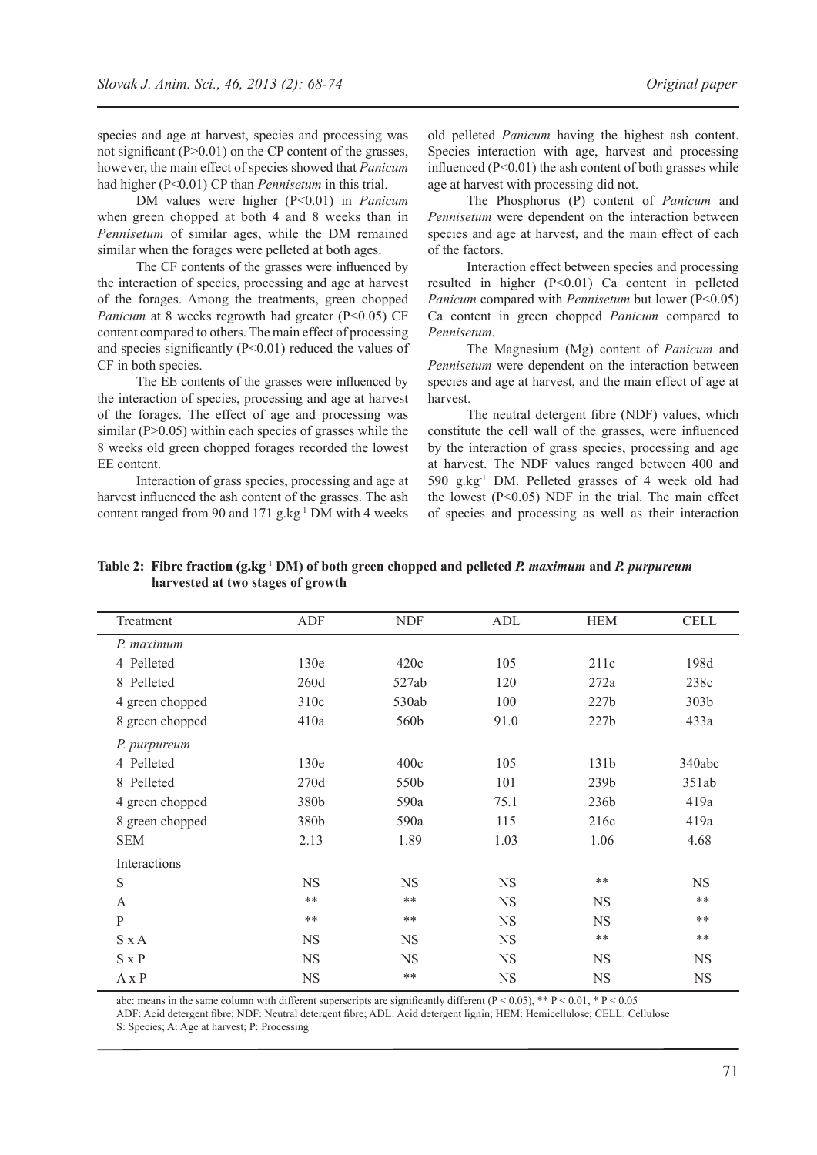species and age at harvest, species and processing was not significant (P>0.01) on the CP content of the grasses, however, the main effect of species showed that *Panicum* had higher (P<0.01) CP than *Pennisetum* in this trial.

DM values were higher (P<0.01) in *Panicum* when green chopped at both 4 and 8 weeks than in *Pennisetum* of similar ages, while the DM remained similar when the forages were pelleted at both ages.

The CF contents of the grasses were influenced by the interaction of species, processing and age at harvest of the forages. Among the treatments, green chopped *Panicum* at 8 weeks regrowth had greater (P<0.05) CF content compared to others. The main effect of processing and species significantly  $(P<0.01)$  reduced the values of CF in both species.

The EE contents of the grasses were influenced by the interaction of species, processing and age at harvest of the forages. The effect of age and processing was similar  $(P>0.05)$  within each species of grasses while the 8 weeks old green chopped forages recorded the lowest EE content.

Interaction of grass species, processing and age at harvest influenced the ash content of the grasses. The ash content ranged from 90 and 171 g.kg<sup>-1</sup> DM with 4 weeks old pelleted *Panicum* having the highest ash content. Species interaction with age, harvest and processing influenced  $(P<0.01)$  the ash content of both grasses while age at harvest with processing did not.

The Phosphorus (P) content of *Panicum* and *Pennisetum* were dependent on the interaction between species and age at harvest, and the main effect of each of the factors.

Interaction effect between species and processing resulted in higher (P<0.01) Ca content in pelleted *Panicum* compared with *Pennisetum* but lower (P<0.05) Ca content in green chopped *Panicum* compared to *Pennisetum*.

The Magnesium (Mg) content of *Panicum* and *Pennisetum* were dependent on the interaction between species and age at harvest, and the main effect of age at harvest.

The neutral detergent fibre (NDF) values, which constitute the cell wall of the grasses, were influenced by the interaction of grass species, processing and age at harvest. The NDF values ranged between 400 and 590 g.kg-1 DM. Pelleted grasses of 4 week old had the lowest  $(P<0.05)$  NDF in the trial. The main effect of species and processing as well as their interaction

| Treatment       | ADF       | <b>NDF</b>       | ADL       | HEM              | <b>CELL</b> |
|-----------------|-----------|------------------|-----------|------------------|-------------|
| P. maximum      |           |                  |           |                  |             |
| 4 Pelleted      | 130e      | 420c             | 105       | 211c             | 198d        |
| 8 Pelleted      | 260d      | 527ab            | 120       | 272a             | 238c        |
| 4 green chopped | 310c      | 530ab            | 100       | 227b             | 303b        |
| 8 green chopped | 410a      | 560b             | 91.0      | 227b             | 433a        |
| P. purpureum    |           |                  |           |                  |             |
| 4 Pelleted      | 130e      | 400c             | 105       | 131b             | 340abc      |
| 8 Pelleted      | 270d      | 550 <sub>b</sub> | 101       | 239 <sub>b</sub> | 351ab       |
| 4 green chopped | 380b      | 590a             | 75.1      | 236b             | 419a        |
| 8 green chopped | 380b      | 590a             | 115       | 216c             | 419a        |
| <b>SEM</b>      | 2.13      | 1.89             | 1.03      | 1.06             | 4.68        |
| Interactions    |           |                  |           |                  |             |
| S               | <b>NS</b> | <b>NS</b>        | <b>NS</b> | $***$            | <b>NS</b>   |
| A               | $***$     | $***$            | <b>NS</b> | <b>NS</b>        | $***$       |
| P               | $**$      | $***$            | <b>NS</b> | <b>NS</b>        | $***$       |
| $S \times A$    | <b>NS</b> | <b>NS</b>        | <b>NS</b> | $***$            | **          |
| $S \times P$    | <b>NS</b> | <b>NS</b>        | <b>NS</b> | <b>NS</b>        | <b>NS</b>   |
| $A \times P$    | <b>NS</b> | $***$            | <b>NS</b> | <b>NS</b>        | <b>NS</b>   |

Table 2: Fibre fraction (g, kg<sup>-1</sup> DM) of both green chopped and pelleted *P. maximum* and *P. purpureum* **harvested at two stages of growth**

abc: means in the same column with different superscripts are significantly different  $(P < 0.05)$ , \*\*  $P < 0.01$ , \*  $P < 0.05$ 

ADF: Acid detergent fibre; NDF: Neutral detergent fibre; ADL: Acid detergent lignin; HEM: Hemicellulose; CELL: Cellulose

S: Species; A: Age at harvest; P: Processing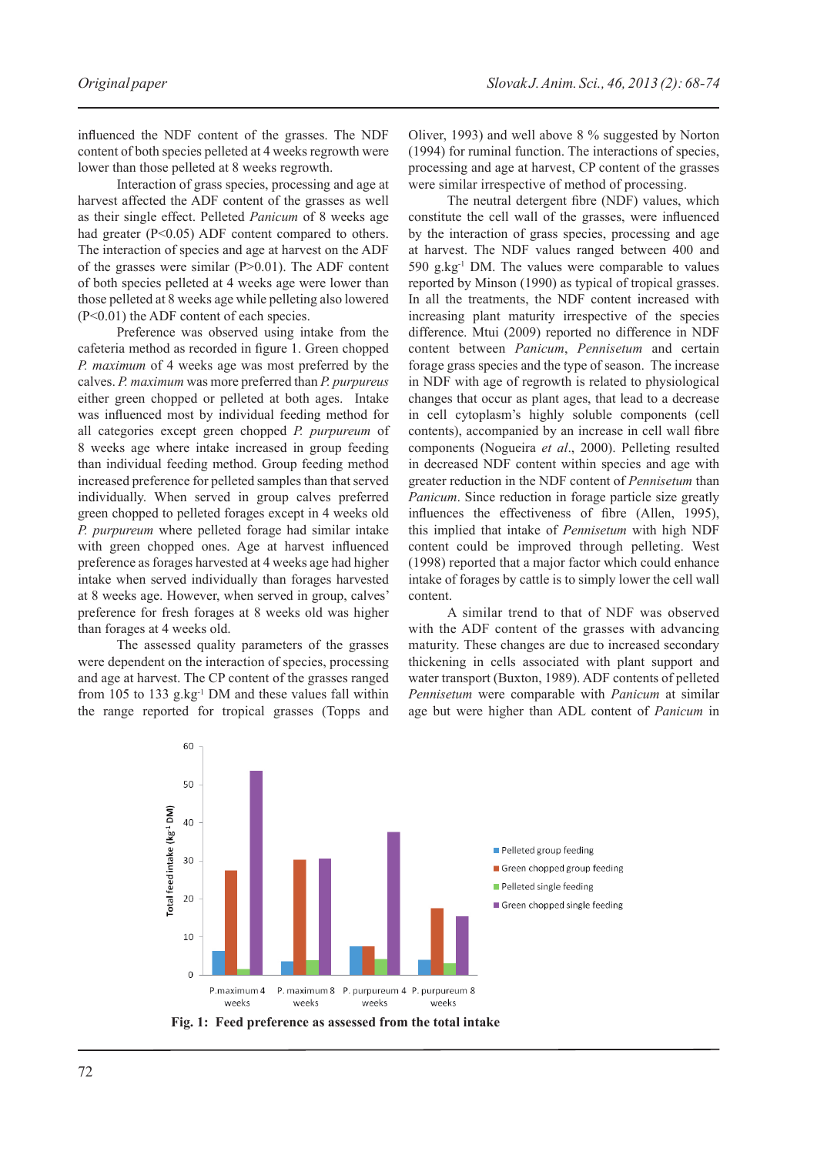influenced the NDF content of the grasses. The NDF content of both species pelleted at 4 weeks regrowth were lower than those pelleted at 8 weeks regrowth.

Interaction of grass species, processing and age at harvest affected the ADF content of the grasses as well as their single effect. Pelleted *Panicum* of 8 weeks age had greater (P<0.05) ADF content compared to others. The interaction of species and age at harvest on the ADF of the grasses were similar (P>0.01). The ADF content of both species pelleted at 4 weeks age were lower than those pelleted at 8 weeks age while pelleting also lowered (P<0.01) the ADF content of each species.

Preference was observed using intake from the cafeteria method as recorded in figure 1. Green chopped *P. maximum* of 4 weeks age was most preferred by the calves. *P. maximum* was more preferred than *P. purpureus* either green chopped or pelleted at both ages. Intake was influenced most by individual feeding method for all categories except green chopped *P. purpureum* of 8 weeks age where intake increased in group feeding than individual feeding method. Group feeding method increased preference for pelleted samples than that served individually. When served in group calves preferred green chopped to pelleted forages except in 4 weeks old *P. purpureum* where pelleted forage had similar intake with green chopped ones. Age at harvest influenced preference as forages harvested at 4 weeks age had higher intake when served individually than forages harvested at 8 weeks age. However, when served in group, calves' preference for fresh forages at 8 weeks old was higher than forages at 4 weeks old.

The assessed quality parameters of the grasses were dependent on the interaction of species, processing and age at harvest. The CP content of the grasses ranged from 105 to 133 g.kg $^{-1}$  DM and these values fall within the range reported for tropical grasses (Topps and Oliver, 1993) and well above 8 % suggested by Norton (1994) for ruminal function. The interactions of species, processing and age at harvest, CP content of the grasses were similar irrespective of method of processing.

The neutral detergent fibre (NDF) values, which constitute the cell wall of the grasses, were influenced by the interaction of grass species, processing and age at harvest. The NDF values ranged between 400 and 590 g.kg-1 DM. The values were comparable to values reported by Minson (1990) as typical of tropical grasses. In all the treatments, the NDF content increased with increasing plant maturity irrespective of the species difference. Mtui (2009) reported no difference in NDF content between *Panicum*, *Pennisetum* and certain forage grass species and the type of season. The increase in NDF with age of regrowth is related to physiological changes that occur as plant ages, that lead to a decrease in cell cytoplasm's highly soluble components (cell contents), accompanied by an increase in cell wall fibre components (Nogueira *et al*., 2000). Pelleting resulted in decreased NDF content within species and age with greater reduction in the NDF content of *Pennisetum* than *Panicum*. Since reduction in forage particle size greatly influences the effectiveness of fibre (Allen, 1995), this implied that intake of *Pennisetum* with high NDF content could be improved through pelleting. West (1998) reported that a major factor which could enhance intake of forages by cattle is to simply lower the cell wall content.

A similar trend to that of NDF was observed with the ADF content of the grasses with advancing maturity. These changes are due to increased secondary thickening in cells associated with plant support and water transport (Buxton, 1989). ADF contents of pelleted *Pennisetum* were comparable with *Panicum* at similar age but were higher than ADL content of *Panicum* in



**Fig. 1: Feed preference as assessed from the total intake**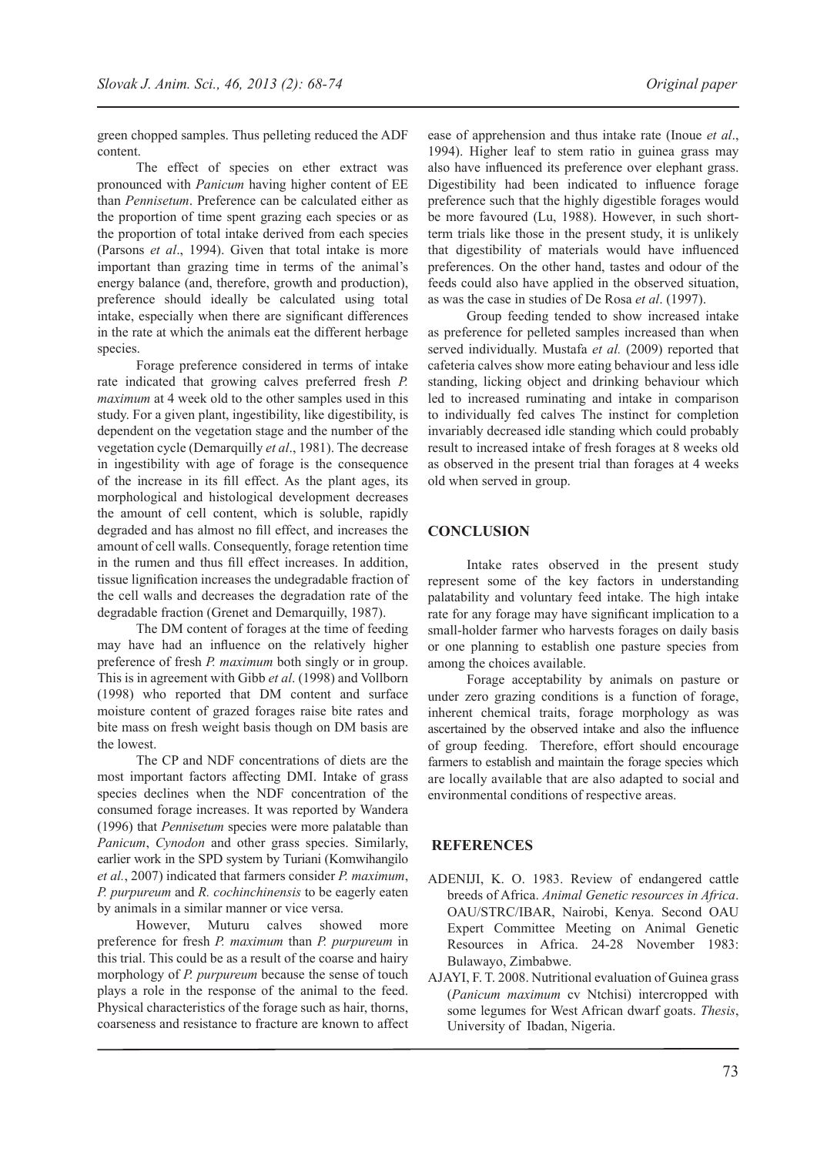green chopped samples. Thus pelleting reduced the ADF content.

The effect of species on ether extract was pronounced with *Panicum* having higher content of EE than *Pennisetum*. Preference can be calculated either as the proportion of time spent grazing each species or as the proportion of total intake derived from each species (Parsons *et al*., 1994). Given that total intake is more important than grazing time in terms of the animal's energy balance (and, therefore, growth and production), preference should ideally be calculated using total intake, especially when there are significant differences in the rate at which the animals eat the different herbage species.

Forage preference considered in terms of intake rate indicated that growing calves preferred fresh *P. maximum* at 4 week old to the other samples used in this study. For a given plant, ingestibility, like digestibility, is dependent on the vegetation stage and the number of the vegetation cycle (Demarquilly *et al*., 1981). The decrease in ingestibility with age of forage is the consequence of the increase in its fill effect. As the plant ages, its morphological and histological development decreases the amount of cell content, which is soluble, rapidly degraded and has almost no fill effect, and increases the amount of cell walls. Consequently, forage retention time in the rumen and thus fill effect increases. In addition, tissue lignification increases the undegradable fraction of the cell walls and decreases the degradation rate of the degradable fraction (Grenet and Demarquilly, 1987).

The DM content of forages at the time of feeding may have had an influence on the relatively higher preference of fresh *P. maximum* both singly or in group. This is in agreement with Gibb *et al*. (1998) and Vollborn (1998) who reported that DM content and surface moisture content of grazed forages raise bite rates and bite mass on fresh weight basis though on DM basis are the lowest.

The CP and NDF concentrations of diets are the most important factors affecting DMI. Intake of grass species declines when the NDF concentration of the consumed forage increases. It was reported by Wandera (1996) that *Pennisetum* species were more palatable than *Panicum*, *Cynodon* and other grass species. Similarly, earlier work in the SPD system by Turiani (Komwihangilo *et al.*, 2007) indicated that farmers consider *P. maximum*, *P. purpureum* and *R. cochinchinensis* to be eagerly eaten by animals in a similar manner or vice versa.

However, Muturu calves showed more preference for fresh *P. maximum* than *P. purpureum* in this trial. This could be as a result of the coarse and hairy morphology of *P. purpureum* because the sense of touch plays a role in the response of the animal to the feed. Physical characteristics of the forage such as hair, thorns, coarseness and resistance to fracture are known to affect

ease of apprehension and thus intake rate (Inoue *et al*., 1994). Higher leaf to stem ratio in guinea grass may also have influenced its preference over elephant grass. Digestibility had been indicated to influence forage preference such that the highly digestible forages would be more favoured (Lu, 1988). However, in such shortterm trials like those in the present study, it is unlikely that digestibility of materials would have influenced preferences. On the other hand, tastes and odour of the feeds could also have applied in the observed situation, as was the case in studies of De Rosa *et al*. (1997).

Group feeding tended to show increased intake as preference for pelleted samples increased than when served individually. Mustafa *et al.* (2009) reported that cafeteria calves show more eating behaviour and less idle standing, licking object and drinking behaviour which led to increased ruminating and intake in comparison to individually fed calves The instinct for completion invariably decreased idle standing which could probably result to increased intake of fresh forages at 8 weeks old as observed in the present trial than forages at 4 weeks old when served in group.

## **CONCLUSION**

Intake rates observed in the present study represent some of the key factors in understanding palatability and voluntary feed intake. The high intake rate for any forage may have significant implication to a small-holder farmer who harvests forages on daily basis or one planning to establish one pasture species from among the choices available.

Forage acceptability by animals on pasture or under zero grazing conditions is a function of forage, inherent chemical traits, forage morphology as was ascertained by the observed intake and also the influence of group feeding. Therefore, effort should encourage farmers to establish and maintain the forage species which are locally available that are also adapted to social and environmental conditions of respective areas.

## **REFERENCES**

- ADENIJI, K. O. 1983. Review of endangered cattle breeds of Africa. *Animal Genetic resources in Africa*. OAU/STRC/IBAR, Nairobi, Kenya. Second OAU Expert Committee Meeting on Animal Genetic Resources in Africa. 24-28 November 1983: Bulawayo, Zimbabwe.
- AJAYI, F. T. 2008. Nutritional evaluation of Guinea grass (*Panicum maximum* cv Ntchisi) intercropped with some legumes for West African dwarf goats. *Thesis*, University of Ibadan, Nigeria.